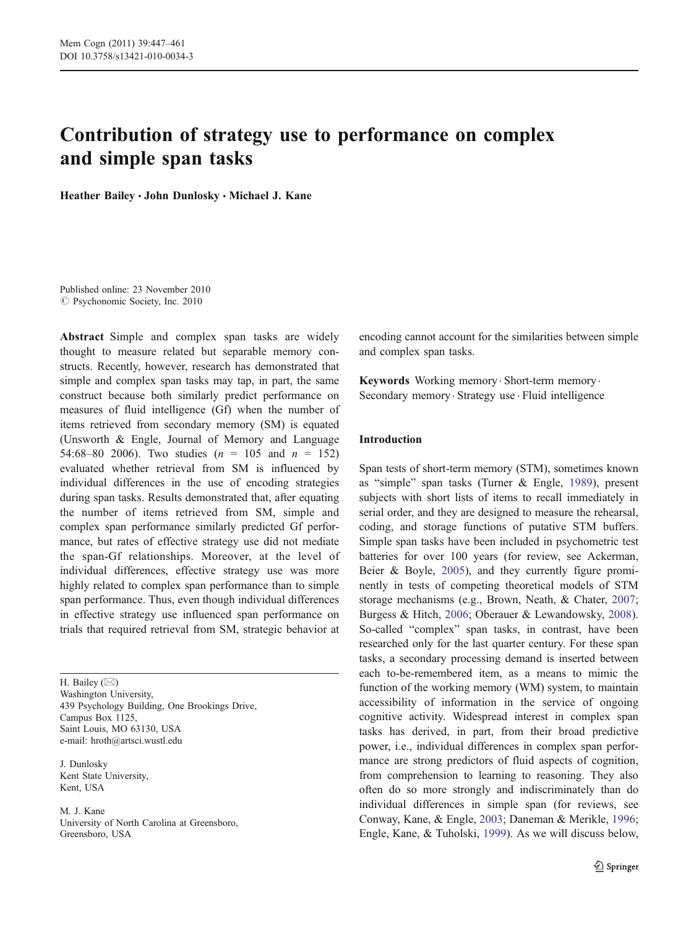# Contribution of strategy use to performance on complex and simple span tasks

Heather Bailey · John Dunlosky · Michael J. Kane

Published online: 23 November 2010  $\odot$  Psychonomic Society, Inc. 2010

Abstract Simple and complex span tasks are widely thought to measure related but separable memory constructs. Recently, however, research has demonstrated that simple and complex span tasks may tap, in part, the same construct because both similarly predict performance on measures of fluid intelligence (Gf) when the number of items retrieved from secondary memory (SM) is equated (Unsworth & Engle, Journal of Memory and Language 54:68–80 2006). Two studies  $(n = 105 \text{ and } n = 152)$ evaluated whether retrieval from SM is influenced by individual differences in the use of encoding strategies during span tasks. Results demonstrated that, after equating the number of items retrieved from SM, simple and complex span performance similarly predicted Gf performance, but rates of effective strategy use did not mediate the span-Gf relationships. Moreover, at the level of individual differences, effective strategy use was more highly related to complex span performance than to simple span performance. Thus, even though individual differences in effective strategy use influenced span performance on trials that required retrieval from SM, strategic behavior at

H. Bailey  $(\boxtimes)$ Washington University, 439 Psychology Building, One Brookings Drive, Campus Box 1125, Saint Louis, MO 63130, USA e-mail: hroth@artsci.wustl.edu

J. Dunlosky Kent State University, Kent, USA

M. J. Kane University of North Carolina at Greensboro, Greensboro, USA

encoding cannot account for the similarities between simple and complex span tasks.

Keywords Working memory. Short-term memory . Secondary memory. Strategy use . Fluid intelligence

## Introduction

Span tests of short-term memory (STM), sometimes known as "simple" span tasks (Turner & Engle, [1989](#page-14-0)), present subjects with short lists of items to recall immediately in serial order, and they are designed to measure the rehearsal, coding, and storage functions of putative STM buffers. Simple span tasks have been included in psychometric test batteries for over 100 years (for review, see Ackerman, Beier & Boyle, [2005](#page-13-0)), and they currently figure prominently in tests of competing theoretical models of STM storage mechanisms (e.g., Brown, Neath, & Chater, [2007;](#page-13-0) Burgess & Hitch, [2006](#page-13-0); Oberauer & Lewandowsky, [2008\)](#page-14-0). So-called "complex" span tasks, in contrast, have been researched only for the last quarter century. For these span tasks, a secondary processing demand is inserted between each to-be-remembered item, as a means to mimic the function of the working memory (WM) system, to maintain accessibility of information in the service of ongoing cognitive activity. Widespread interest in complex span tasks has derived, in part, from their broad predictive power, i.e., individual differences in complex span performance are strong predictors of fluid aspects of cognition, from comprehension to learning to reasoning. They also often do so more strongly and indiscriminately than do individual differences in simple span (for reviews, see Conway, Kane, & Engle, [2003;](#page-14-0) Daneman & Merikle, [1996;](#page-14-0) Engle, Kane, & Tuholski, [1999\)](#page-14-0). As we will discuss below,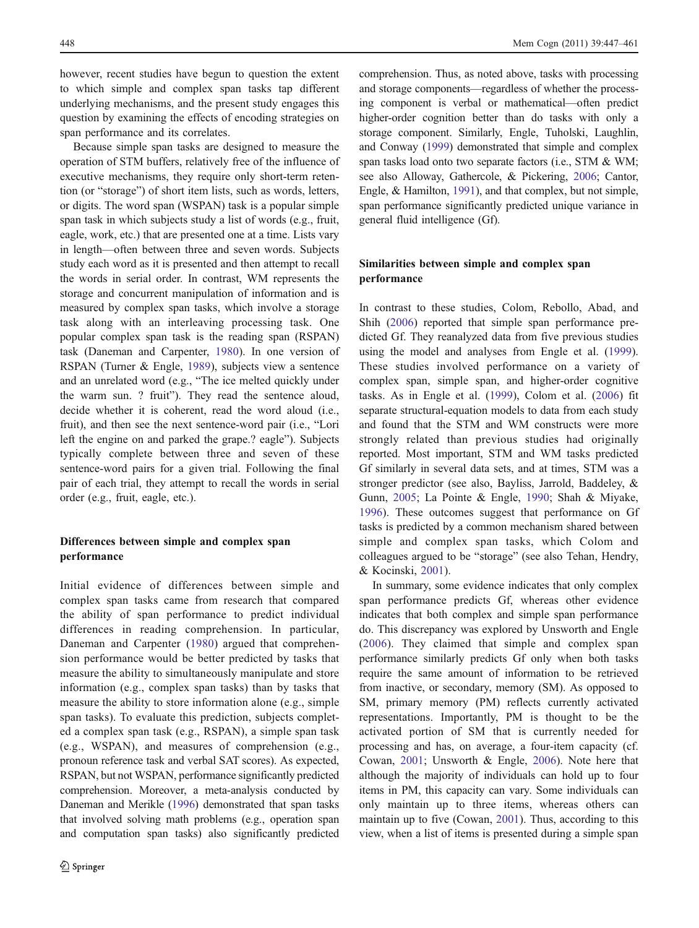however, recent studies have begun to question the extent to which simple and complex span tasks tap different underlying mechanisms, and the present study engages this question by examining the effects of encoding strategies on span performance and its correlates.

Because simple span tasks are designed to measure the operation of STM buffers, relatively free of the influence of executive mechanisms, they require only short-term retention (or "storage") of short item lists, such as words, letters, or digits. The word span (WSPAN) task is a popular simple span task in which subjects study a list of words (e.g., fruit, eagle, work, etc.) that are presented one at a time. Lists vary in length—often between three and seven words. Subjects study each word as it is presented and then attempt to recall the words in serial order. In contrast, WM represents the storage and concurrent manipulation of information and is measured by complex span tasks, which involve a storage task along with an interleaving processing task. One popular complex span task is the reading span (RSPAN) task (Daneman and Carpenter, [1980\)](#page-14-0). In one version of RSPAN (Turner & Engle, [1989\)](#page-14-0), subjects view a sentence and an unrelated word (e.g., "The ice melted quickly under the warm sun. ? fruit"). They read the sentence aloud, decide whether it is coherent, read the word aloud (i.e., fruit), and then see the next sentence-word pair (i.e., "Lori left the engine on and parked the grape.? eagle"). Subjects typically complete between three and seven of these sentence-word pairs for a given trial. Following the final pair of each trial, they attempt to recall the words in serial order (e.g., fruit, eagle, etc.).

## Differences between simple and complex span performance

Initial evidence of differences between simple and complex span tasks came from research that compared the ability of span performance to predict individual differences in reading comprehension. In particular, Daneman and Carpenter [\(1980](#page-14-0)) argued that comprehension performance would be better predicted by tasks that measure the ability to simultaneously manipulate and store information (e.g., complex span tasks) than by tasks that measure the ability to store information alone (e.g., simple span tasks). To evaluate this prediction, subjects completed a complex span task (e.g., RSPAN), a simple span task (e.g., WSPAN), and measures of comprehension (e.g., pronoun reference task and verbal SAT scores). As expected, RSPAN, but not WSPAN, performance significantly predicted comprehension. Moreover, a meta-analysis conducted by Daneman and Merikle [\(1996](#page-14-0)) demonstrated that span tasks that involved solving math problems (e.g., operation span and computation span tasks) also significantly predicted comprehension. Thus, as noted above, tasks with processing and storage components—regardless of whether the processing component is verbal or mathematical—often predict higher-order cognition better than do tasks with only a storage component. Similarly, Engle, Tuholski, Laughlin, and Conway [\(1999\)](#page-14-0) demonstrated that simple and complex span tasks load onto two separate factors (i.e., STM & WM; see also Alloway, Gathercole, & Pickering, [2006](#page-13-0); Cantor, Engle, & Hamilton, [1991](#page-13-0)), and that complex, but not simple, span performance significantly predicted unique variance in general fluid intelligence (Gf).

## Similarities between simple and complex span performance

In contrast to these studies, Colom, Rebollo, Abad, and Shih ([2006\)](#page-13-0) reported that simple span performance predicted Gf. They reanalyzed data from five previous studies using the model and analyses from Engle et al. ([1999\)](#page-14-0). These studies involved performance on a variety of complex span, simple span, and higher-order cognitive tasks. As in Engle et al. [\(1999](#page-14-0)), Colom et al. ([2006\)](#page-13-0) fit separate structural-equation models to data from each study and found that the STM and WM constructs were more strongly related than previous studies had originally reported. Most important, STM and WM tasks predicted Gf similarly in several data sets, and at times, STM was a stronger predictor (see also, Bayliss, Jarrold, Baddeley, & Gunn, [2005](#page-13-0); La Pointe & Engle, [1990](#page-14-0); Shah & Miyake, [1996](#page-14-0)). These outcomes suggest that performance on Gf tasks is predicted by a common mechanism shared between simple and complex span tasks, which Colom and colleagues argued to be "storage" (see also Tehan, Hendry, & Kocinski, [2001\)](#page-14-0).

In summary, some evidence indicates that only complex span performance predicts Gf, whereas other evidence indicates that both complex and simple span performance do. This discrepancy was explored by Unsworth and Engle [\(2006\)](#page-14-0). They claimed that simple and complex span performance similarly predicts Gf only when both tasks require the same amount of information to be retrieved from inactive, or secondary, memory (SM). As opposed to SM, primary memory (PM) reflects currently activated representations. Importantly, PM is thought to be the activated portion of SM that is currently needed for processing and has, on average, a four-item capacity (cf. Cowan, [2001](#page-14-0); Unsworth & Engle, [2006](#page-14-0)). Note here that although the majority of individuals can hold up to four items in PM, this capacity can vary. Some individuals can only maintain up to three items, whereas others can maintain up to five (Cowan, [2001\)](#page-14-0). Thus, according to this view, when a list of items is presented during a simple span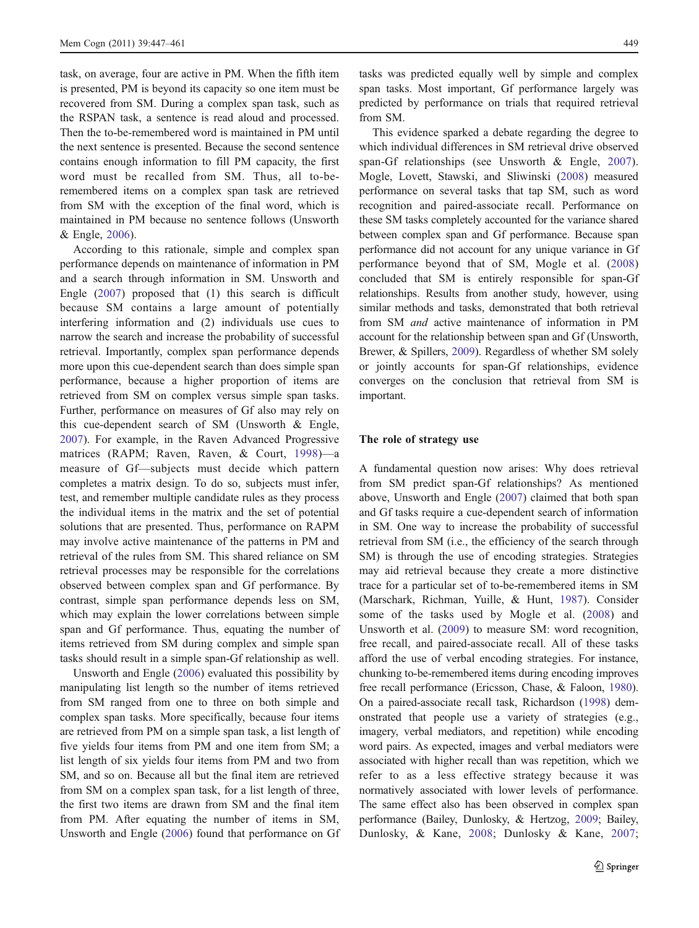task, on average, four are active in PM. When the fifth item is presented, PM is beyond its capacity so one item must be recovered from SM. During a complex span task, such as the RSPAN task, a sentence is read aloud and processed. Then the to-be-remembered word is maintained in PM until the next sentence is presented. Because the second sentence contains enough information to fill PM capacity, the first word must be recalled from SM. Thus, all to-beremembered items on a complex span task are retrieved from SM with the exception of the final word, which is maintained in PM because no sentence follows (Unsworth & Engle, [2006\)](#page-14-0).

According to this rationale, simple and complex span performance depends on maintenance of information in PM and a search through information in SM. Unsworth and Engle [\(2007](#page-14-0)) proposed that (1) this search is difficult because SM contains a large amount of potentially interfering information and (2) individuals use cues to narrow the search and increase the probability of successful retrieval. Importantly, complex span performance depends more upon this cue-dependent search than does simple span performance, because a higher proportion of items are retrieved from SM on complex versus simple span tasks. Further, performance on measures of Gf also may rely on this cue-dependent search of SM (Unsworth & Engle, [2007\)](#page-14-0). For example, in the Raven Advanced Progressive matrices (RAPM; Raven, Raven, & Court, [1998](#page-14-0))—a measure of Gf—subjects must decide which pattern completes a matrix design. To do so, subjects must infer, test, and remember multiple candidate rules as they process the individual items in the matrix and the set of potential solutions that are presented. Thus, performance on RAPM may involve active maintenance of the patterns in PM and retrieval of the rules from SM. This shared reliance on SM retrieval processes may be responsible for the correlations observed between complex span and Gf performance. By contrast, simple span performance depends less on SM, which may explain the lower correlations between simple span and Gf performance. Thus, equating the number of items retrieved from SM during complex and simple span tasks should result in a simple span-Gf relationship as well.

Unsworth and Engle ([2006\)](#page-14-0) evaluated this possibility by manipulating list length so the number of items retrieved from SM ranged from one to three on both simple and complex span tasks. More specifically, because four items are retrieved from PM on a simple span task, a list length of five yields four items from PM and one item from SM; a list length of six yields four items from PM and two from SM, and so on. Because all but the final item are retrieved from SM on a complex span task, for a list length of three, the first two items are drawn from SM and the final item from PM. After equating the number of items in SM, Unsworth and Engle ([2006\)](#page-14-0) found that performance on Gf

tasks was predicted equally well by simple and complex span tasks. Most important, Gf performance largely was predicted by performance on trials that required retrieval from SM.

This evidence sparked a debate regarding the degree to which individual differences in SM retrieval drive observed span-Gf relationships (see Unsworth & Engle, [2007](#page-14-0)). Mogle, Lovett, Stawski, and Sliwinski ([2008\)](#page-14-0) measured performance on several tasks that tap SM, such as word recognition and paired-associate recall. Performance on these SM tasks completely accounted for the variance shared between complex span and Gf performance. Because span performance did not account for any unique variance in Gf performance beyond that of SM, Mogle et al. ([2008](#page-14-0)) concluded that SM is entirely responsible for span-Gf relationships. Results from another study, however, using similar methods and tasks, demonstrated that both retrieval from SM and active maintenance of information in PM account for the relationship between span and Gf (Unsworth, Brewer, & Spillers, [2009\)](#page-14-0). Regardless of whether SM solely or jointly accounts for span-Gf relationships, evidence converges on the conclusion that retrieval from SM is important.

## The role of strategy use

A fundamental question now arises: Why does retrieval from SM predict span-Gf relationships? As mentioned above, Unsworth and Engle ([2007\)](#page-14-0) claimed that both span and Gf tasks require a cue-dependent search of information in SM. One way to increase the probability of successful retrieval from SM (i.e., the efficiency of the search through SM) is through the use of encoding strategies. Strategies may aid retrieval because they create a more distinctive trace for a particular set of to-be-remembered items in SM (Marschark, Richman, Yuille, & Hunt, [1987](#page-14-0)). Consider some of the tasks used by Mogle et al. ([2008](#page-14-0)) and Unsworth et al. [\(2009\)](#page-14-0) to measure SM: word recognition, free recall, and paired-associate recall. All of these tasks afford the use of verbal encoding strategies. For instance, chunking to-be-remembered items during encoding improves free recall performance (Ericsson, Chase, & Faloon, [1980\)](#page-14-0). On a paired-associate recall task, Richardson [\(1998\)](#page-14-0) demonstrated that people use a variety of strategies (e.g., imagery, verbal mediators, and repetition) while encoding word pairs. As expected, images and verbal mediators were associated with higher recall than was repetition, which we refer to as a less effective strategy because it was normatively associated with lower levels of performance. The same effect also has been observed in complex span performance (Bailey, Dunlosky, & Hertzog, [2009;](#page-13-0) Bailey, Dunlosky, & Kane, [2008](#page-13-0); Dunlosky & Kane, [2007;](#page-14-0)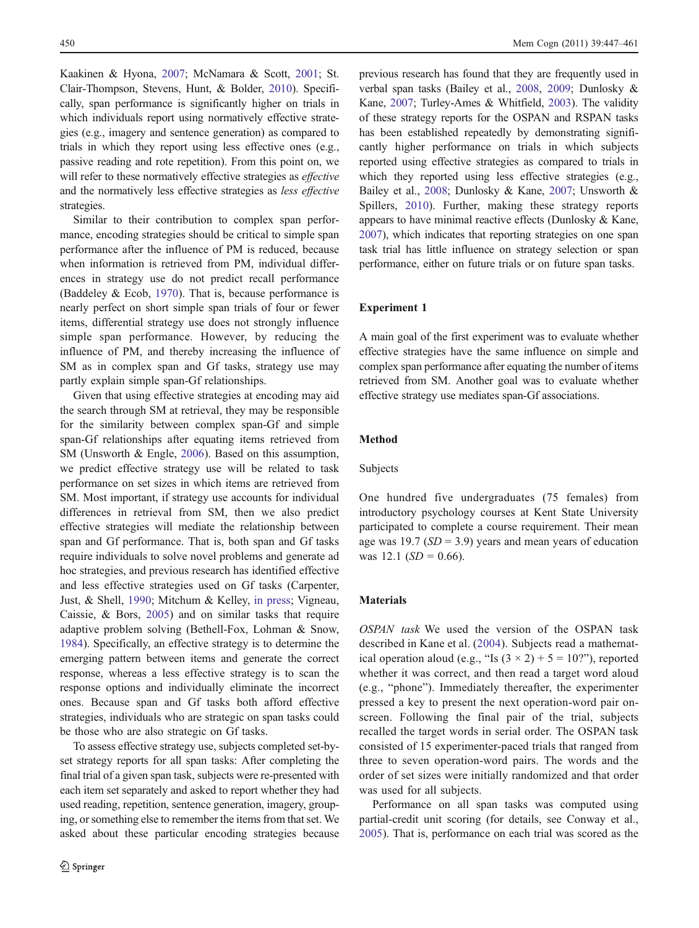<span id="page-3-0"></span>Kaakinen & Hyona, [2007;](#page-14-0) McNamara & Scott, [2001](#page-14-0); St. Clair-Thompson, Stevens, Hunt, & Bolder, [2010\)](#page-14-0). Specifically, span performance is significantly higher on trials in which individuals report using normatively effective strategies (e.g., imagery and sentence generation) as compared to trials in which they report using less effective ones (e.g., passive reading and rote repetition). From this point on, we will refer to these normatively effective strategies as *effective* and the normatively less effective strategies as less effective strategies.

Similar to their contribution to complex span performance, encoding strategies should be critical to simple span performance after the influence of PM is reduced, because when information is retrieved from PM, individual differences in strategy use do not predict recall performance (Baddeley & Ecob, [1970](#page-13-0)). That is, because performance is nearly perfect on short simple span trials of four or fewer items, differential strategy use does not strongly influence simple span performance. However, by reducing the influence of PM, and thereby increasing the influence of SM as in complex span and Gf tasks, strategy use may partly explain simple span-Gf relationships.

Given that using effective strategies at encoding may aid the search through SM at retrieval, they may be responsible for the similarity between complex span-Gf and simple span-Gf relationships after equating items retrieved from SM (Unsworth & Engle, [2006](#page-14-0)). Based on this assumption, we predict effective strategy use will be related to task performance on set sizes in which items are retrieved from SM. Most important, if strategy use accounts for individual differences in retrieval from SM, then we also predict effective strategies will mediate the relationship between span and Gf performance. That is, both span and Gf tasks require individuals to solve novel problems and generate ad hoc strategies, and previous research has identified effective and less effective strategies used on Gf tasks (Carpenter, Just, & Shell, [1990;](#page-13-0) Mitchum & Kelley, [in press;](#page-14-0) Vigneau, Caissie, & Bors, [2005\)](#page-14-0) and on similar tasks that require adaptive problem solving (Bethell-Fox, Lohman & Snow, [1984\)](#page-13-0). Specifically, an effective strategy is to determine the emerging pattern between items and generate the correct response, whereas a less effective strategy is to scan the response options and individually eliminate the incorrect ones. Because span and Gf tasks both afford effective strategies, individuals who are strategic on span tasks could be those who are also strategic on Gf tasks.

To assess effective strategy use, subjects completed set-byset strategy reports for all span tasks: After completing the final trial of a given span task, subjects were re-presented with each item set separately and asked to report whether they had used reading, repetition, sentence generation, imagery, grouping, or something else to remember the items from that set. We asked about these particular encoding strategies because previous research has found that they are frequently used in verbal span tasks (Bailey et al., [2008](#page-13-0), [2009](#page-13-0); Dunlosky & Kane, [2007](#page-14-0); Turley-Ames & Whitfield, [2003\)](#page-14-0). The validity of these strategy reports for the OSPAN and RSPAN tasks has been established repeatedly by demonstrating significantly higher performance on trials in which subjects reported using effective strategies as compared to trials in which they reported using less effective strategies (e.g., Bailey et al., [2008](#page-13-0); Dunlosky & Kane, [2007;](#page-14-0) Unsworth & Spillers, [2010](#page-14-0)). Further, making these strategy reports appears to have minimal reactive effects (Dunlosky & Kane, [2007\)](#page-14-0), which indicates that reporting strategies on one span task trial has little influence on strategy selection or span performance, either on future trials or on future span tasks.

## Experiment 1

A main goal of the first experiment was to evaluate whether effective strategies have the same influence on simple and complex span performance after equating the number of items retrieved from SM. Another goal was to evaluate whether effective strategy use mediates span-Gf associations.

## Method

Subjects

One hundred five undergraduates (75 females) from introductory psychology courses at Kent State University participated to complete a course requirement. Their mean age was 19.7 ( $SD = 3.9$ ) years and mean years of education was 12.1  $(SD = 0.66)$ .

#### Materials

OSPAN task We used the version of the OSPAN task described in Kane et al. ([2004](#page-14-0)). Subjects read a mathematical operation aloud (e.g., "Is  $(3 \times 2) + 5 = 10$ ?"), reported whether it was correct, and then read a target word aloud (e.g., "phone"). Immediately thereafter, the experimenter pressed a key to present the next operation-word pair onscreen. Following the final pair of the trial, subjects recalled the target words in serial order. The OSPAN task consisted of 15 experimenter-paced trials that ranged from three to seven operation-word pairs. The words and the order of set sizes were initially randomized and that order was used for all subjects.

Performance on all span tasks was computed using partial-credit unit scoring (for details, see Conway et al., [2005](#page-13-0)). That is, performance on each trial was scored as the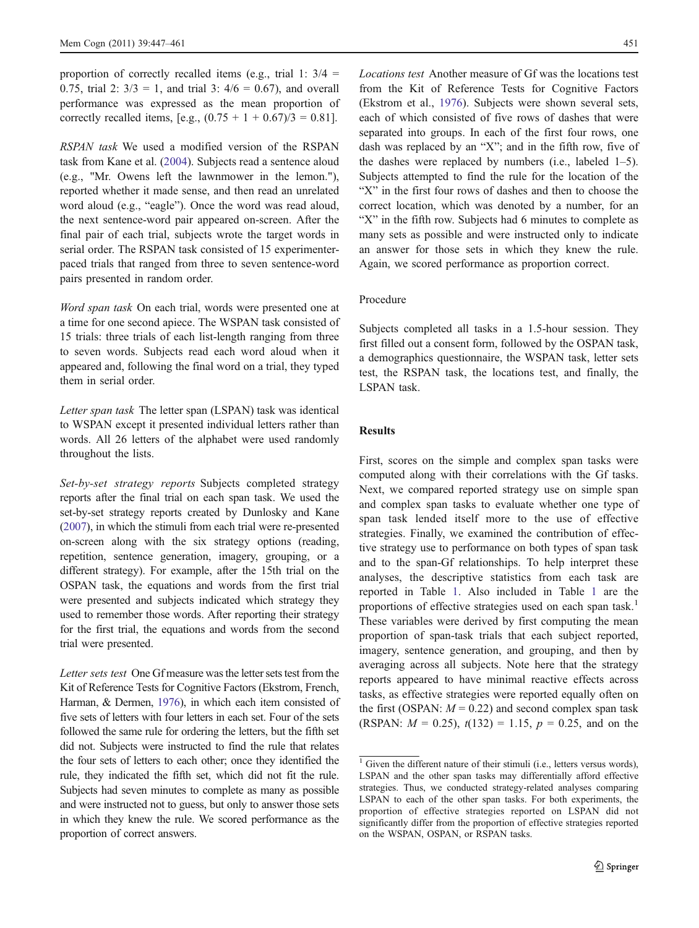proportion of correctly recalled items (e.g., trial 1:  $3/4 =$ 0.75, trial 2:  $3/3 = 1$ , and trial 3:  $4/6 = 0.67$ ), and overall performance was expressed as the mean proportion of correctly recalled items,  $[e.g., (0.75 + 1 + 0.67)/3 = 0.81]$ .

RSPAN task We used a modified version of the RSPAN task from Kane et al. ([2004\)](#page-14-0). Subjects read a sentence aloud (e.g., "Mr. Owens left the lawnmower in the lemon."), reported whether it made sense, and then read an unrelated word aloud (e.g., "eagle"). Once the word was read aloud, the next sentence-word pair appeared on-screen. After the final pair of each trial, subjects wrote the target words in serial order. The RSPAN task consisted of 15 experimenterpaced trials that ranged from three to seven sentence-word pairs presented in random order.

Word span task On each trial, words were presented one at a time for one second apiece. The WSPAN task consisted of 15 trials: three trials of each list-length ranging from three to seven words. Subjects read each word aloud when it appeared and, following the final word on a trial, they typed them in serial order.

Letter span task The letter span (LSPAN) task was identical to WSPAN except it presented individual letters rather than words. All 26 letters of the alphabet were used randomly throughout the lists.

Set-by-set strategy reports Subjects completed strategy reports after the final trial on each span task. We used the set-by-set strategy reports created by Dunlosky and Kane [\(2007\)](#page-14-0), in which the stimuli from each trial were re-presented on-screen along with the six strategy options (reading, repetition, sentence generation, imagery, grouping, or a different strategy). For example, after the 15th trial on the OSPAN task, the equations and words from the first trial were presented and subjects indicated which strategy they used to remember those words. After reporting their strategy for the first trial, the equations and words from the second trial were presented.

Letter sets test One Gf measure was the letter sets test from the Kit of Reference Tests for Cognitive Factors (Ekstrom, French, Harman, & Dermen, [1976](#page-14-0)), in which each item consisted of five sets of letters with four letters in each set. Four of the sets followed the same rule for ordering the letters, but the fifth set did not. Subjects were instructed to find the rule that relates the four sets of letters to each other; once they identified the rule, they indicated the fifth set, which did not fit the rule. Subjects had seven minutes to complete as many as possible and were instructed not to guess, but only to answer those sets in which they knew the rule. We scored performance as the proportion of correct answers.

Locations test Another measure of Gf was the locations test from the Kit of Reference Tests for Cognitive Factors (Ekstrom et al., [1976](#page-14-0)). Subjects were shown several sets, each of which consisted of five rows of dashes that were separated into groups. In each of the first four rows, one dash was replaced by an "X"; and in the fifth row, five of the dashes were replaced by numbers (i.e., labeled 1–5). Subjects attempted to find the rule for the location of the "X" in the first four rows of dashes and then to choose the correct location, which was denoted by a number, for an "X" in the fifth row. Subjects had 6 minutes to complete as many sets as possible and were instructed only to indicate an answer for those sets in which they knew the rule. Again, we scored performance as proportion correct.

## Procedure

Subjects completed all tasks in a 1.5-hour session. They first filled out a consent form, followed by the OSPAN task, a demographics questionnaire, the WSPAN task, letter sets test, the RSPAN task, the locations test, and finally, the LSPAN task.

# Results

First, scores on the simple and complex span tasks were computed along with their correlations with the Gf tasks. Next, we compared reported strategy use on simple span and complex span tasks to evaluate whether one type of span task lended itself more to the use of effective strategies. Finally, we examined the contribution of effective strategy use to performance on both types of span task and to the span-Gf relationships. To help interpret these analyses, the descriptive statistics from each task are reported in Table [1.](#page-5-0) Also included in Table [1](#page-5-0) are the proportions of effective strategies used on each span task.<sup>1</sup> These variables were derived by first computing the mean proportion of span-task trials that each subject reported, imagery, sentence generation, and grouping, and then by averaging across all subjects. Note here that the strategy reports appeared to have minimal reactive effects across tasks, as effective strategies were reported equally often on the first (OSPAN:  $M = 0.22$ ) and second complex span task (RSPAN:  $M = 0.25$ ),  $t(132) = 1.15$ ,  $p = 0.25$ , and on the

 $1$  Given the different nature of their stimuli (i.e., letters versus words), LSPAN and the other span tasks may differentially afford effective strategies. Thus, we conducted strategy-related analyses comparing LSPAN to each of the other span tasks. For both experiments, the proportion of effective strategies reported on LSPAN did not significantly differ from the proportion of effective strategies reported on the WSPAN, OSPAN, or RSPAN tasks.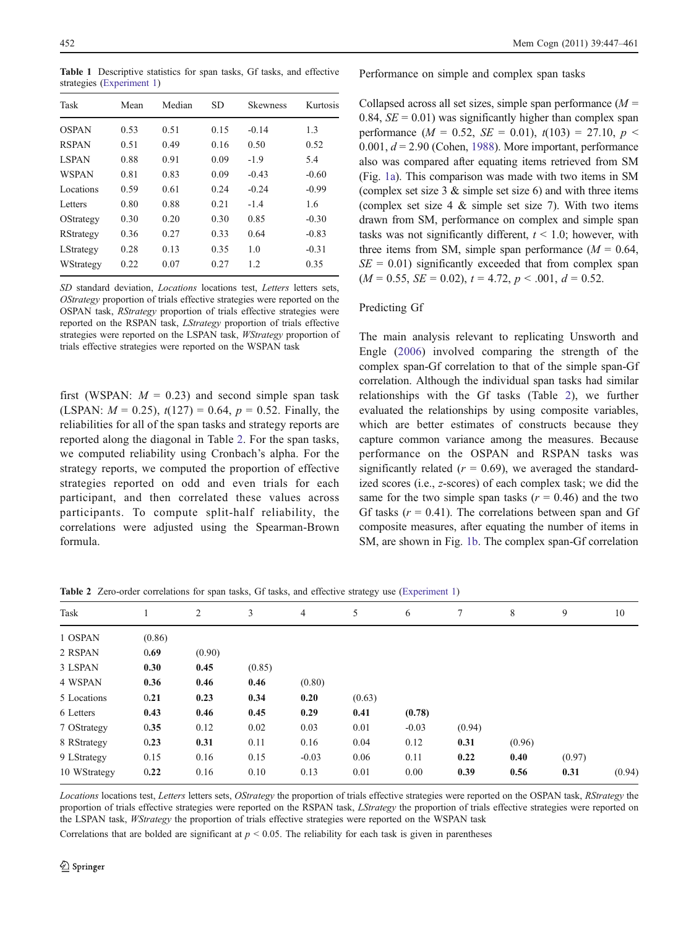<span id="page-5-0"></span>Table 1 Descriptive statistics for span tasks, Gf tasks, and effective strategies [\(Experiment 1](#page-3-0))

| Task             | Mean | Median | <b>SD</b> | <b>Skewness</b> | Kurtosis |
|------------------|------|--------|-----------|-----------------|----------|
| <b>OSPAN</b>     | 0.53 | 0.51   | 0.15      | $-0.14$         | 1.3      |
| <b>RSPAN</b>     | 0.51 | 0.49   | 0.16      | 0.50            | 0.52     |
| <b>LSPAN</b>     | 0.88 | 0.91   | 0.09      | $-1.9$          | 5.4      |
| <b>WSPAN</b>     | 0.81 | 0.83   | 0.09      | $-0.43$         | $-0.60$  |
| Locations        | 0.59 | 0.61   | 0.24      | $-0.24$         | $-0.99$  |
| Letters          | 0.80 | 0.88   | 0.21      | $-1.4$          | 1.6      |
| OStrategy        | 0.30 | 0.20   | 0.30      | 0.85            | $-0.30$  |
| <b>RStrategy</b> | 0.36 | 0.27   | 0.33      | 0.64            | $-0.83$  |
| LStrategy        | 0.28 | 0.13   | 0.35      | 1.0             | $-0.31$  |
| WStrategy        | 0.22 | 0.07   | 0.27      | 1.2             | 0.35     |

SD standard deviation, *Locations* locations test, *Letters* letters sets, OStrategy proportion of trials effective strategies were reported on the OSPAN task, RStrategy proportion of trials effective strategies were reported on the RSPAN task, LStrategy proportion of trials effective strategies were reported on the LSPAN task, WStrategy proportion of trials effective strategies were reported on the WSPAN task

first (WSPAN:  $M = 0.23$ ) and second simple span task (LSPAN:  $M = 0.25$ ),  $t(127) = 0.64$ ,  $p = 0.52$ . Finally, the reliabilities for all of the span tasks and strategy reports are reported along the diagonal in Table 2. For the span tasks, we computed reliability using Cronbach's alpha. For the strategy reports, we computed the proportion of effective strategies reported on odd and even trials for each participant, and then correlated these values across participants. To compute split-half reliability, the correlations were adjusted using the Spearman-Brown formula.

Performance on simple and complex span tasks

Collapsed across all set sizes, simple span performance  $(M =$ 0.84,  $SE = 0.01$ ) was significantly higher than complex span performance  $(M = 0.52, SE = 0.01), t(103) = 27.10, p <$ 0.001,  $d = 2.90$  (Cohen, [1988](#page-13-0)). More important, performance also was compared after equating items retrieved from SM (Fig. [1a\)](#page-6-0). This comparison was made with two items in SM (complex set size  $3 \&$  simple set size  $6$ ) and with three items (complex set size 4 & simple set size 7). With two items drawn from SM, performance on complex and simple span tasks was not significantly different,  $t < 1.0$ ; however, with three items from SM, simple span performance  $(M = 0.64,$  $SE = 0.01$ ) significantly exceeded that from complex span  $(M = 0.55, SE = 0.02), t = 4.72, p < .001, d = 0.52.$ 

## Predicting Gf

The main analysis relevant to replicating Unsworth and Engle [\(2006](#page-14-0)) involved comparing the strength of the complex span-Gf correlation to that of the simple span-Gf correlation. Although the individual span tasks had similar relationships with the Gf tasks (Table 2), we further evaluated the relationships by using composite variables, which are better estimates of constructs because they capture common variance among the measures. Because performance on the OSPAN and RSPAN tasks was significantly related ( $r = 0.69$ ), we averaged the standardized scores (i.e., z-scores) of each complex task; we did the same for the two simple span tasks ( $r = 0.46$ ) and the two Gf tasks ( $r = 0.41$ ). The correlations between span and Gf composite measures, after equating the number of items in SM, are shown in Fig. [1b](#page-6-0). The complex span-Gf correlation

Table 2 Zero-order correlations for span tasks, Gf tasks, and effective strategy use ([Experiment 1](#page-3-0))

| Task         |        | 2      | 3      | 4       | 5      | 6       | 7      | 8      | 9      | 10     |
|--------------|--------|--------|--------|---------|--------|---------|--------|--------|--------|--------|
| 1 OSPAN      | (0.86) |        |        |         |        |         |        |        |        |        |
| 2 RSPAN      | 0.69   | (0.90) |        |         |        |         |        |        |        |        |
| 3 LSPAN      | 0.30   | 0.45   | (0.85) |         |        |         |        |        |        |        |
| 4 WSPAN      | 0.36   | 0.46   | 0.46   | (0.80)  |        |         |        |        |        |        |
| 5 Locations  | 0.21   | 0.23   | 0.34   | 0.20    | (0.63) |         |        |        |        |        |
| 6 Letters    | 0.43   | 0.46   | 0.45   | 0.29    | 0.41   | (0.78)  |        |        |        |        |
| 7 OStrategy  | 0.35   | 0.12   | 0.02   | 0.03    | 0.01   | $-0.03$ | (0.94) |        |        |        |
| 8 RStrategy  | 0.23   | 0.31   | 0.11   | 0.16    | 0.04   | 0.12    | 0.31   | (0.96) |        |        |
| 9 LStrategy  | 0.15   | 0.16   | 0.15   | $-0.03$ | 0.06   | 0.11    | 0.22   | 0.40   | (0.97) |        |
| 10 WStrategy | 0.22   | 0.16   | 0.10   | 0.13    | 0.01   | 0.00    | 0.39   | 0.56   | 0.31   | (0.94) |

Locations locations test, Letters letters sets, OStrategy the proportion of trials effective strategies were reported on the OSPAN task, RStrategy the proportion of trials effective strategies were reported on the RSPAN task, LStrategy the proportion of trials effective strategies were reported on the LSPAN task, *WStrategy* the proportion of trials effective strategies were reported on the WSPAN task

Correlations that are bolded are significant at  $p < 0.05$ . The reliability for each task is given in parentheses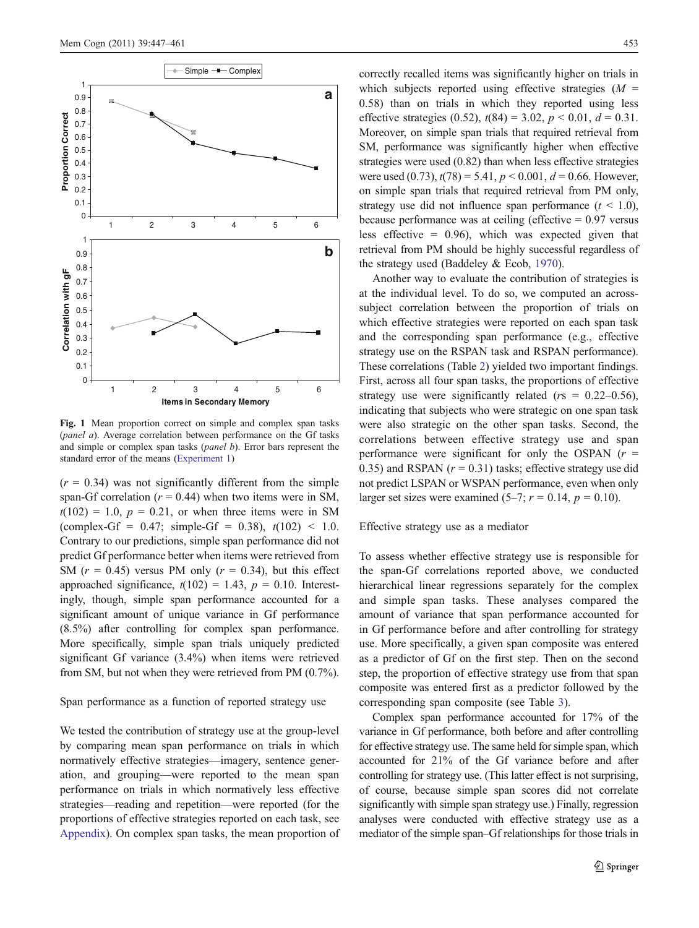

<span id="page-6-0"></span>

Fig. 1 Mean proportion correct on simple and complex span tasks (panel a). Average correlation between performance on the Gf tasks and simple or complex span tasks (panel b). Error bars represent the standard error of the means ([Experiment 1](#page-3-0))

 $(r = 0.34)$  was not significantly different from the simple span-Gf correlation ( $r = 0.44$ ) when two items were in SM,  $t(102) = 1.0$ ,  $p = 0.21$ , or when three items were in SM (complex-Gf =  $0.47$ ; simple-Gf =  $0.38$ ),  $t(102) < 1.0$ . Contrary to our predictions, simple span performance did not predict Gf performance better when items were retrieved from SM  $(r = 0.45)$  versus PM only  $(r = 0.34)$ , but this effect approached significance,  $t(102) = 1.43$ ,  $p = 0.10$ . Interestingly, though, simple span performance accounted for a significant amount of unique variance in Gf performance (8.5%) after controlling for complex span performance. More specifically, simple span trials uniquely predicted significant Gf variance (3.4%) when items were retrieved from SM, but not when they were retrieved from PM (0.7%).

## Span performance as a function of reported strategy use

We tested the contribution of strategy use at the group-level by comparing mean span performance on trials in which normatively effective strategies—imagery, sentence generation, and grouping—were reported to the mean span performance on trials in which normatively less effective strategies—reading and repetition—were reported (for the proportions of effective strategies reported on each task, see [Appendix](#page-13-0)). On complex span tasks, the mean proportion of correctly recalled items was significantly higher on trials in which subjects reported using effective strategies  $(M =$ 0.58) than on trials in which they reported using less effective strategies (0.52),  $t(84) = 3.02$ ,  $p < 0.01$ ,  $d = 0.31$ . Moreover, on simple span trials that required retrieval from SM, performance was significantly higher when effective strategies were used (0.82) than when less effective strategies were used (0.73),  $t(78) = 5.41$ ,  $p < 0.001$ ,  $d = 0.66$ . However, on simple span trials that required retrieval from PM only, strategy use did not influence span performance  $(t < 1.0)$ , because performance was at ceiling (effective  $= 0.97$  versus less effective  $= 0.96$ , which was expected given that retrieval from PM should be highly successful regardless of the strategy used (Baddeley & Ecob, [1970](#page-13-0)).

Another way to evaluate the contribution of strategies is at the individual level. To do so, we computed an acrosssubject correlation between the proportion of trials on which effective strategies were reported on each span task and the corresponding span performance (e.g., effective strategy use on the RSPAN task and RSPAN performance). These correlations (Table [2\)](#page-5-0) yielded two important findings. First, across all four span tasks, the proportions of effective strategy use were significantly related ( $rs = 0.22{\text -}0.56$ ), indicating that subjects who were strategic on one span task were also strategic on the other span tasks. Second, the correlations between effective strategy use and span performance were significant for only the OSPAN  $(r =$ 0.35) and RSPAN  $(r = 0.31)$  tasks; effective strategy use did not predict LSPAN or WSPAN performance, even when only larger set sizes were examined (5–7;  $r = 0.14$ ,  $p = 0.10$ ).

#### Effective strategy use as a mediator

To assess whether effective strategy use is responsible for the span-Gf correlations reported above, we conducted hierarchical linear regressions separately for the complex and simple span tasks. These analyses compared the amount of variance that span performance accounted for in Gf performance before and after controlling for strategy use. More specifically, a given span composite was entered as a predictor of Gf on the first step. Then on the second step, the proportion of effective strategy use from that span composite was entered first as a predictor followed by the corresponding span composite (see Table [3\)](#page-7-0).

Complex span performance accounted for 17% of the variance in Gf performance, both before and after controlling for effective strategy use. The same held for simple span, which accounted for 21% of the Gf variance before and after controlling for strategy use. (This latter effect is not surprising, of course, because simple span scores did not correlate significantly with simple span strategy use.) Finally, regression analyses were conducted with effective strategy use as a mediator of the simple span–Gf relationships for those trials in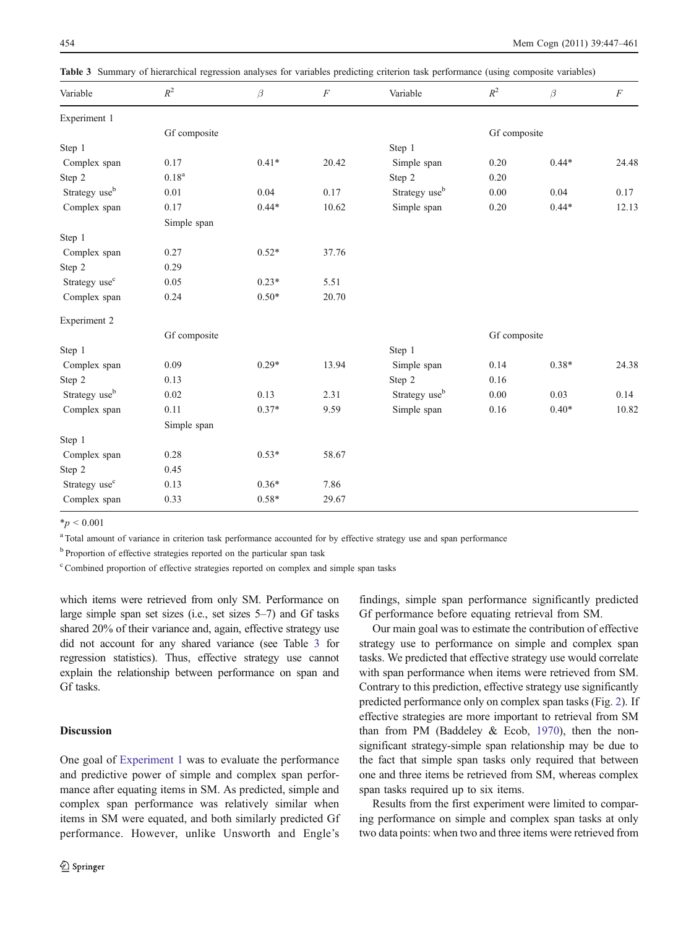| Variable                  | $\mathbb{R}^2$    | $\beta$ | $\cal F$ | Variable                  | $\mathbb{R}^2$ | $\beta$ | $\cal F$ |
|---------------------------|-------------------|---------|----------|---------------------------|----------------|---------|----------|
| Experiment 1              |                   |         |          |                           |                |         |          |
|                           | Gf composite      |         |          |                           | Gf composite   |         |          |
| Step 1                    |                   |         |          | Step 1                    |                |         |          |
| Complex span              | 0.17              | $0.41*$ | 20.42    | Simple span               | 0.20           | $0.44*$ | 24.48    |
| Step 2                    | 0.18 <sup>a</sup> |         |          | Step 2                    | 0.20           |         |          |
| Strategy use <sup>b</sup> | 0.01              | 0.04    | 0.17     | Strategy use <sup>b</sup> | $0.00\,$       | 0.04    | 0.17     |
| Complex span              | 0.17              | $0.44*$ | 10.62    | Simple span               | 0.20           | $0.44*$ | 12.13    |
|                           | Simple span       |         |          |                           |                |         |          |
| Step 1                    |                   |         |          |                           |                |         |          |
| Complex span              | 0.27              | $0.52*$ | 37.76    |                           |                |         |          |
| Step 2                    | 0.29              |         |          |                           |                |         |          |
| Strategy use <sup>c</sup> | 0.05              | $0.23*$ | 5.51     |                           |                |         |          |
| Complex span              | 0.24              | $0.50*$ | 20.70    |                           |                |         |          |
| Experiment 2              |                   |         |          |                           |                |         |          |
|                           | Gf composite      |         |          |                           | Gf composite   |         |          |
| Step 1                    |                   |         |          | Step 1                    |                |         |          |
| Complex span              | 0.09              | $0.29*$ | 13.94    | Simple span               | 0.14           | $0.38*$ | 24.38    |
| Step 2                    | 0.13              |         |          | Step 2                    | 0.16           |         |          |
| Strategy use <sup>b</sup> | 0.02              | 0.13    | 2.31     | Strategy use <sup>b</sup> | $0.00\,$       | 0.03    | 0.14     |
| Complex span              | 0.11              | $0.37*$ | 9.59     | Simple span               | 0.16           | $0.40*$ | 10.82    |
|                           | Simple span       |         |          |                           |                |         |          |
| Step 1                    |                   |         |          |                           |                |         |          |
| Complex span              | 0.28              | $0.53*$ | 58.67    |                           |                |         |          |
| Step 2                    | 0.45              |         |          |                           |                |         |          |
| Strategy use <sup>c</sup> | 0.13              | $0.36*$ | 7.86     |                           |                |         |          |
| Complex span              | 0.33              | $0.58*$ | 29.67    |                           |                |         |          |

<span id="page-7-0"></span>Table 3 Summary of hierarchical regression analyses for variables predicting criterion task performance (using composite variables)

 $*_{p}$  < 0.001

<sup>a</sup> Total amount of variance in criterion task performance accounted for by effective strategy use and span performance

<sup>b</sup> Proportion of effective strategies reported on the particular span task

<sup>c</sup> Combined proportion of effective strategies reported on complex and simple span tasks

which items were retrieved from only SM. Performance on large simple span set sizes (i.e., set sizes 5–7) and Gf tasks shared 20% of their variance and, again, effective strategy use did not account for any shared variance (see Table 3 for regression statistics). Thus, effective strategy use cannot explain the relationship between performance on span and Gf tasks.

# Discussion

One goal of [Experiment 1](#page-3-0) was to evaluate the performance and predictive power of simple and complex span performance after equating items in SM. As predicted, simple and complex span performance was relatively similar when items in SM were equated, and both similarly predicted Gf performance. However, unlike Unsworth and Engle's

findings, simple span performance significantly predicted Gf performance before equating retrieval from SM.

Our main goal was to estimate the contribution of effective strategy use to performance on simple and complex span tasks. We predicted that effective strategy use would correlate with span performance when items were retrieved from SM. Contrary to this prediction, effective strategy use significantly predicted performance only on complex span tasks (Fig. [2\)](#page-8-0). If effective strategies are more important to retrieval from SM than from PM (Baddeley & Ecob, [1970\)](#page-13-0), then the nonsignificant strategy-simple span relationship may be due to the fact that simple span tasks only required that between one and three items be retrieved from SM, whereas complex span tasks required up to six items.

Results from the first experiment were limited to comparing performance on simple and complex span tasks at only two data points: when two and three items were retrieved from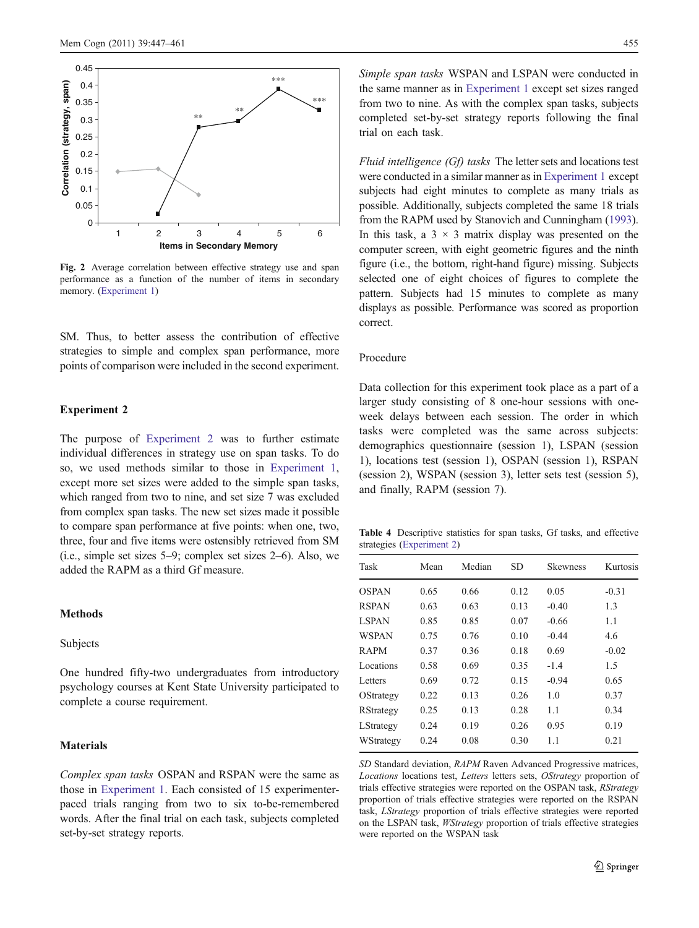<span id="page-8-0"></span>

Fig. 2 Average correlation between effective strategy use and span performance as a function of the number of items in secondary memory. [\(Experiment 1](#page-3-0))

SM. Thus, to better assess the contribution of effective strategies to simple and complex span performance, more points of comparison were included in the second experiment.

## Experiment 2

The purpose of Experiment 2 was to further estimate individual differences in strategy use on span tasks. To do so, we used methods similar to those in [Experiment 1,](#page-3-0) except more set sizes were added to the simple span tasks, which ranged from two to nine, and set size 7 was excluded from complex span tasks. The new set sizes made it possible to compare span performance at five points: when one, two, three, four and five items were ostensibly retrieved from SM (i.e., simple set sizes 5–9; complex set sizes 2–6). Also, we added the RAPM as a third Gf measure.

## Methods

#### Subjects

One hundred fifty-two undergraduates from introductory psychology courses at Kent State University participated to complete a course requirement.

## **Materials**

Complex span tasks OSPAN and RSPAN were the same as those in [Experiment 1](#page-3-0). Each consisted of 15 experimenterpaced trials ranging from two to six to-be-remembered words. After the final trial on each task, subjects completed set-by-set strategy reports.

Simple span tasks WSPAN and LSPAN were conducted in the same manner as in [Experiment 1](#page-3-0) except set sizes ranged from two to nine. As with the complex span tasks, subjects completed set-by-set strategy reports following the final trial on each task.

Fluid intelligence (Gf) tasks The letter sets and locations test were conducted in a similar manner as in [Experiment 1](#page-3-0) except subjects had eight minutes to complete as many trials as possible. Additionally, subjects completed the same 18 trials from the RAPM used by Stanovich and Cunningham [\(1993\)](#page-14-0). In this task, a  $3 \times 3$  matrix display was presented on the computer screen, with eight geometric figures and the ninth figure (i.e., the bottom, right-hand figure) missing. Subjects selected one of eight choices of figures to complete the pattern. Subjects had 15 minutes to complete as many displays as possible. Performance was scored as proportion correct.

## Procedure

Data collection for this experiment took place as a part of a larger study consisting of 8 one-hour sessions with oneweek delays between each session. The order in which tasks were completed was the same across subjects: demographics questionnaire (session 1), LSPAN (session 1), locations test (session 1), OSPAN (session 1), RSPAN (session 2), WSPAN (session 3), letter sets test (session 5), and finally, RAPM (session 7).

Table 4 Descriptive statistics for span tasks, Gf tasks, and effective strategies (Experiment 2)

| Median<br><b>SD</b><br><b>Skewness</b><br>Kurtosis |  |
|----------------------------------------------------|--|
| 0.05<br>$-0.31$<br>0.66<br>0.12                    |  |
| 0.63<br>0.13<br>$-0.40$<br>1.3                     |  |
| 0.85<br>1.1<br>0.07<br>$-0.66$                     |  |
| 0.76<br>0.10<br>$-0.44$<br>4.6                     |  |
| 0.36<br>0.69<br>$-0.02$<br>0.18                    |  |
| 0.69<br>0.35<br>$-1.4$<br>1.5                      |  |
| 0.72<br>$-0.94$<br>0.65<br>0.15                    |  |
| 0.26<br>0.13<br>1.0<br>0.37                        |  |
| 1.1<br>0.13<br>0.28<br>0.34                        |  |
| 0.19<br>0.95<br>0.19<br>0.26                       |  |
| 0.08<br>1.1<br>0.21<br>0.30                        |  |
|                                                    |  |

SD Standard deviation, RAPM Raven Advanced Progressive matrices, Locations locations test, Letters letters sets, OStrategy proportion of trials effective strategies were reported on the OSPAN task, RStrategy proportion of trials effective strategies were reported on the RSPAN task, LStrategy proportion of trials effective strategies were reported on the LSPAN task, WStrategy proportion of trials effective strategies were reported on the WSPAN task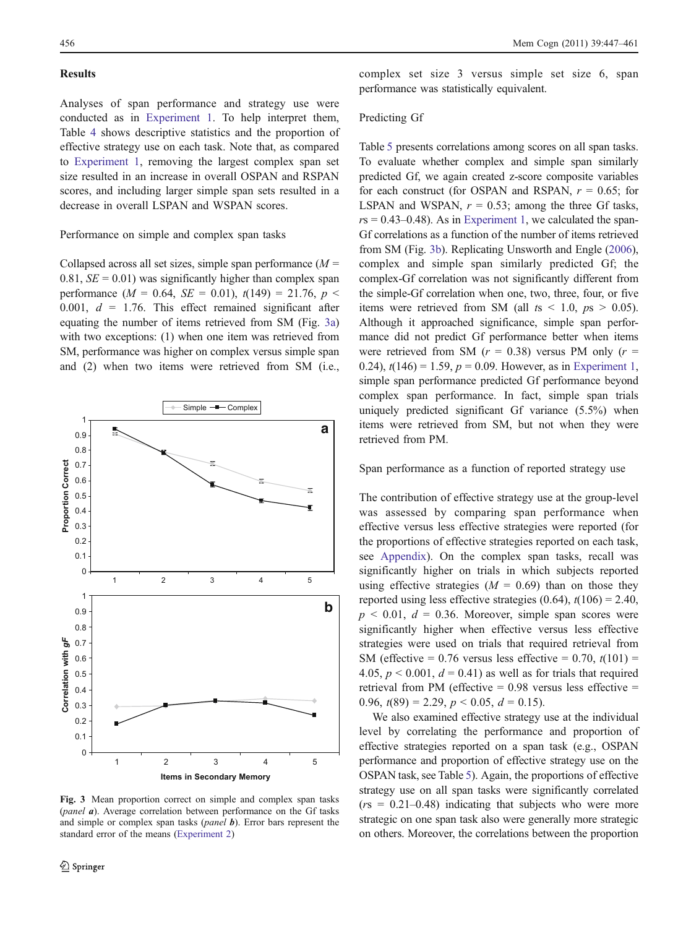## Results

Analyses of span performance and strategy use were conducted as in [Experiment 1](#page-3-0). To help interpret them, Table [4](#page-8-0) shows descriptive statistics and the proportion of effective strategy use on each task. Note that, as compared to [Experiment 1](#page-3-0), removing the largest complex span set size resulted in an increase in overall OSPAN and RSPAN scores, and including larger simple span sets resulted in a decrease in overall LSPAN and WSPAN scores.

#### Performance on simple and complex span tasks

Collapsed across all set sizes, simple span performance  $(M =$ 0.81,  $SE = 0.01$ ) was significantly higher than complex span performance  $(M = 0.64, SE = 0.01), t(149) = 21.76, p <$ 0.001,  $d = 1.76$ . This effect remained significant after equating the number of items retrieved from SM (Fig. 3a) with two exceptions: (1) when one item was retrieved from SM, performance was higher on complex versus simple span and (2) when two items were retrieved from SM (i.e.,



Fig. 3 Mean proportion correct on simple and complex span tasks (panel a). Average correlation between performance on the Gf tasks and simple or complex span tasks (*panel b*). Error bars represent the standard error of the means ([Experiment 2](#page-8-0))

complex set size 3 versus simple set size 6, span performance was statistically equivalent.

## Predicting Gf

Table [5](#page-10-0) presents correlations among scores on all span tasks. To evaluate whether complex and simple span similarly predicted Gf, we again created z-score composite variables for each construct (for OSPAN and RSPAN,  $r = 0.65$ ; for LSPAN and WSPAN,  $r = 0.53$ ; among the three Gf tasks,  $r s = 0.43 - 0.48$ . As in [Experiment 1](#page-3-0), we calculated the span-Gf correlations as a function of the number of items retrieved from SM (Fig. 3b). Replicating Unsworth and Engle [\(2006\)](#page-14-0), complex and simple span similarly predicted Gf; the complex-Gf correlation was not significantly different from the simple-Gf correlation when one, two, three, four, or five items were retrieved from SM (all  $ts < 1.0$ ,  $ps > 0.05$ ). Although it approached significance, simple span performance did not predict Gf performance better when items were retrieved from SM ( $r = 0.38$ ) versus PM only ( $r =$ 0.24),  $t(146) = 1.59$ ,  $p = 0.09$ . However, as in [Experiment 1,](#page-3-0) simple span performance predicted Gf performance beyond complex span performance. In fact, simple span trials uniquely predicted significant Gf variance (5.5%) when items were retrieved from SM, but not when they were retrieved from PM.

Span performance as a function of reported strategy use

The contribution of effective strategy use at the group-level was assessed by comparing span performance when effective versus less effective strategies were reported (for the proportions of effective strategies reported on each task, see [Appendix\)](#page-13-0). On the complex span tasks, recall was significantly higher on trials in which subjects reported using effective strategies ( $M = 0.69$ ) than on those they reported using less effective strategies (0.64),  $t(106) = 2.40$ ,  $p \le 0.01$ ,  $d = 0.36$ . Moreover, simple span scores were significantly higher when effective versus less effective strategies were used on trials that required retrieval from SM (effective =  $0.76$  versus less effective =  $0.70$ ,  $t(101)$  = 4.05,  $p < 0.001$ ,  $d = 0.41$ ) as well as for trials that required retrieval from PM (effective = 0.98 versus less effective = 0.96,  $t(89) = 2.29$ ,  $p < 0.05$ ,  $d = 0.15$ ).

We also examined effective strategy use at the individual level by correlating the performance and proportion of effective strategies reported on a span task (e.g., OSPAN performance and proportion of effective strategy use on the OSPAN task, see Table [5\)](#page-10-0). Again, the proportions of effective strategy use on all span tasks were significantly correlated  $(rs = 0.21 - 0.48)$  indicating that subjects who were more strategic on one span task also were generally more strategic on others. Moreover, the correlations between the proportion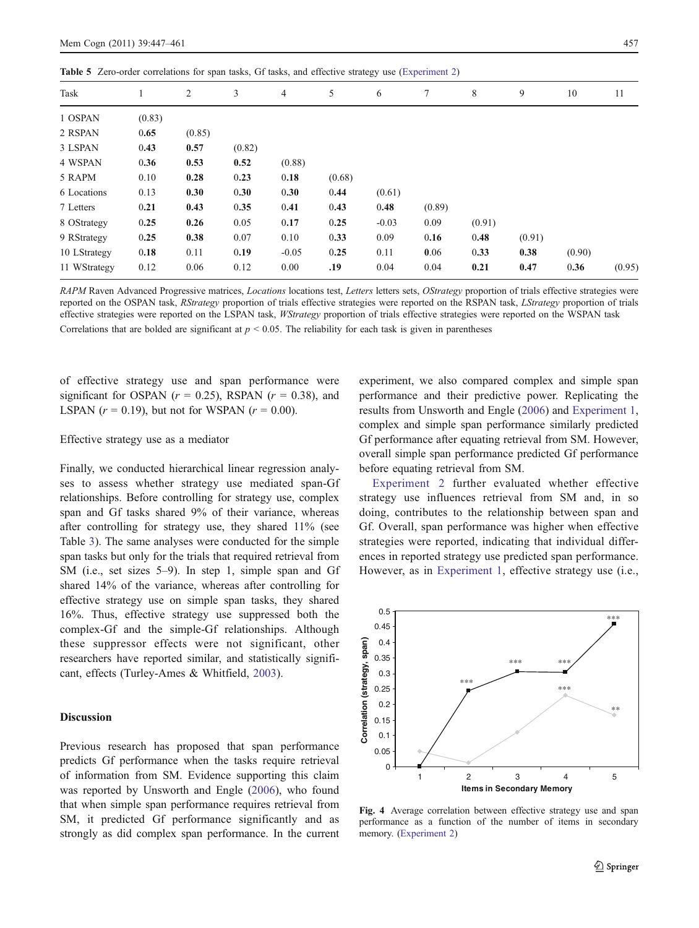| Task         |        | 2      | 3      | 4       | 5      | 6       | 7      | 8      | 9      | 10     | 11     |
|--------------|--------|--------|--------|---------|--------|---------|--------|--------|--------|--------|--------|
| 1 OSPAN      | (0.83) |        |        |         |        |         |        |        |        |        |        |
| 2 RSPAN      | 0.65   | (0.85) |        |         |        |         |        |        |        |        |        |
| 3 LSPAN      | 0.43   | 0.57   | (0.82) |         |        |         |        |        |        |        |        |
| 4 WSPAN      | 0.36   | 0.53   | 0.52   | (0.88)  |        |         |        |        |        |        |        |
| 5 RAPM       | 0.10   | 0.28   | 0.23   | 0.18    | (0.68) |         |        |        |        |        |        |
| 6 Locations  | 0.13   | 0.30   | 0.30   | 0.30    | 0.44   | (0.61)  |        |        |        |        |        |
| 7 Letters    | 0.21   | 0.43   | 0.35   | 0.41    | 0.43   | 0.48    | (0.89) |        |        |        |        |
| 8 OStrategy  | 0.25   | 0.26   | 0.05   | 0.17    | 0.25   | $-0.03$ | 0.09   | (0.91) |        |        |        |
| 9 RStrategy  | 0.25   | 0.38   | 0.07   | 0.10    | 0.33   | 0.09    | 0.16   | 0.48   | (0.91) |        |        |
| 10 LStrategy | 0.18   | 0.11   | 0.19   | $-0.05$ | 0.25   | 0.11    | 0.06   | 0.33   | 0.38   | (0.90) |        |
| 11 WStrategy | 0.12   | 0.06   | 0.12   | 0.00    | .19    | 0.04    | 0.04   | 0.21   | 0.47   | 0.36   | (0.95) |

<span id="page-10-0"></span>Table 5 Zero-order correlations for span tasks, Gf tasks, and effective strategy use ([Experiment 2](#page-8-0))

RAPM Raven Advanced Progressive matrices, Locations locations test, Letters letters sets, OStrategy proportion of trials effective strategies were reported on the OSPAN task, RStrategy proportion of trials effective strategies were reported on the RSPAN task, LStrategy proportion of trials effective strategies were reported on the LSPAN task, WStrategy proportion of trials effective strategies were reported on the WSPAN task Correlations that are bolded are significant at  $p < 0.05$ . The reliability for each task is given in parentheses

of effective strategy use and span performance were significant for OSPAN ( $r = 0.25$ ), RSPAN ( $r = 0.38$ ), and LSPAN  $(r = 0.19)$ , but not for WSPAN  $(r = 0.00)$ .

## Effective strategy use as a mediator

Finally, we conducted hierarchical linear regression analyses to assess whether strategy use mediated span-Gf relationships. Before controlling for strategy use, complex span and Gf tasks shared 9% of their variance, whereas after controlling for strategy use, they shared 11% (see Table [3\)](#page-7-0). The same analyses were conducted for the simple span tasks but only for the trials that required retrieval from SM (i.e., set sizes 5–9). In step 1, simple span and Gf shared 14% of the variance, whereas after controlling for effective strategy use on simple span tasks, they shared 16%. Thus, effective strategy use suppressed both the complex-Gf and the simple-Gf relationships. Although these suppressor effects were not significant, other researchers have reported similar, and statistically significant, effects (Turley-Ames & Whitfield, [2003\)](#page-14-0).

#### Discussion

Previous research has proposed that span performance predicts Gf performance when the tasks require retrieval of information from SM. Evidence supporting this claim was reported by Unsworth and Engle ([2006\)](#page-14-0), who found that when simple span performance requires retrieval from SM, it predicted Gf performance significantly and as strongly as did complex span performance. In the current experiment, we also compared complex and simple span performance and their predictive power. Replicating the results from Unsworth and Engle ([2006\)](#page-14-0) and [Experiment 1,](#page-3-0) complex and simple span performance similarly predicted Gf performance after equating retrieval from SM. However, overall simple span performance predicted Gf performance before equating retrieval from SM.

[Experiment 2](#page-8-0) further evaluated whether effective strategy use influences retrieval from SM and, in so doing, contributes to the relationship between span and Gf. Overall, span performance was higher when effective strategies were reported, indicating that individual differences in reported strategy use predicted span performance. However, as in [Experiment 1](#page-3-0), effective strategy use (i.e.,



Fig. 4 Average correlation between effective strategy use and span performance as a function of the number of items in secondary memory. [\(Experiment 2](#page-8-0))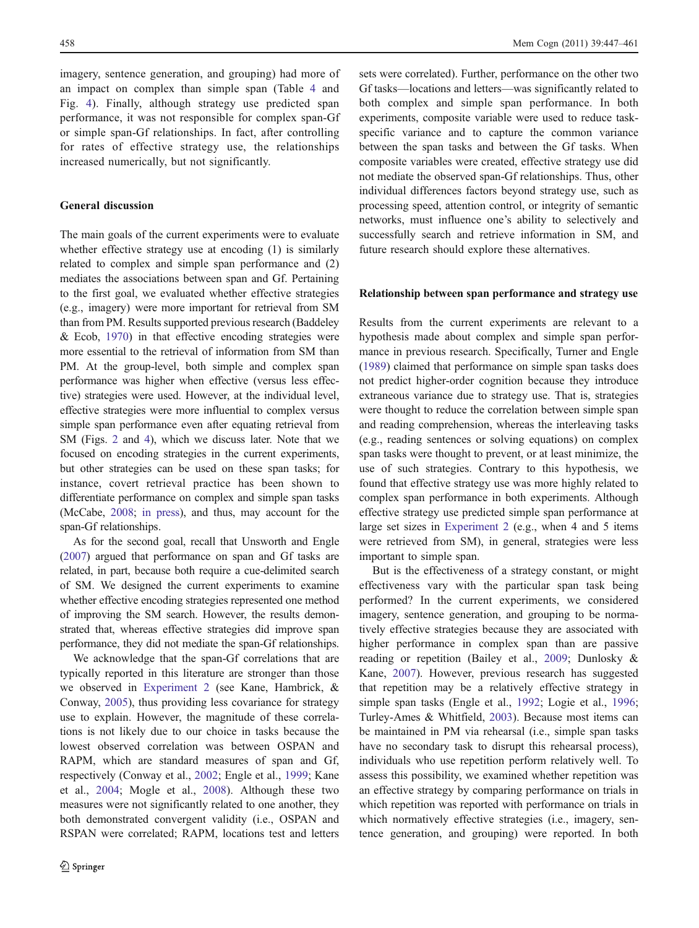imagery, sentence generation, and grouping) had more of an impact on complex than simple span (Table [4](#page-8-0) and Fig. [4](#page-10-0)). Finally, although strategy use predicted span performance, it was not responsible for complex span-Gf or simple span-Gf relationships. In fact, after controlling for rates of effective strategy use, the relationships increased numerically, but not significantly.

## General discussion

The main goals of the current experiments were to evaluate whether effective strategy use at encoding (1) is similarly related to complex and simple span performance and (2) mediates the associations between span and Gf. Pertaining to the first goal, we evaluated whether effective strategies (e.g., imagery) were more important for retrieval from SM than from PM. Results supported previous research (Baddeley  $& Ecob, 1970$  in that effective encoding strategies were more essential to the retrieval of information from SM than PM. At the group-level, both simple and complex span performance was higher when effective (versus less effective) strategies were used. However, at the individual level, effective strategies were more influential to complex versus simple span performance even after equating retrieval from SM (Figs. [2](#page-8-0) and [4\)](#page-10-0), which we discuss later. Note that we focused on encoding strategies in the current experiments, but other strategies can be used on these span tasks; for instance, covert retrieval practice has been shown to differentiate performance on complex and simple span tasks (McCabe, [2008;](#page-14-0) [in press](#page-14-0)), and thus, may account for the span-Gf relationships.

As for the second goal, recall that Unsworth and Engle [\(2007\)](#page-14-0) argued that performance on span and Gf tasks are related, in part, because both require a cue-delimited search of SM. We designed the current experiments to examine whether effective encoding strategies represented one method of improving the SM search. However, the results demonstrated that, whereas effective strategies did improve span performance, they did not mediate the span-Gf relationships.

We acknowledge that the span-Gf correlations that are typically reported in this literature are stronger than those we observed in [Experiment 2](#page-8-0) (see Kane, Hambrick, & Conway, [2005](#page-14-0)), thus providing less covariance for strategy use to explain. However, the magnitude of these correlations is not likely due to our choice in tasks because the lowest observed correlation was between OSPAN and RAPM, which are standard measures of span and Gf, respectively (Conway et al., [2002;](#page-13-0) Engle et al., [1999;](#page-14-0) Kane et al., [2004;](#page-14-0) Mogle et al., [2008](#page-14-0)). Although these two measures were not significantly related to one another, they both demonstrated convergent validity (i.e., OSPAN and RSPAN were correlated; RAPM, locations test and letters sets were correlated). Further, performance on the other two Gf tasks—locations and letters—was significantly related to both complex and simple span performance. In both experiments, composite variable were used to reduce taskspecific variance and to capture the common variance between the span tasks and between the Gf tasks. When composite variables were created, effective strategy use did not mediate the observed span-Gf relationships. Thus, other individual differences factors beyond strategy use, such as processing speed, attention control, or integrity of semantic networks, must influence one's ability to selectively and successfully search and retrieve information in SM, and future research should explore these alternatives.

## Relationship between span performance and strategy use

Results from the current experiments are relevant to a hypothesis made about complex and simple span performance in previous research. Specifically, Turner and Engle [\(1989](#page-14-0)) claimed that performance on simple span tasks does not predict higher-order cognition because they introduce extraneous variance due to strategy use. That is, strategies were thought to reduce the correlation between simple span and reading comprehension, whereas the interleaving tasks (e.g., reading sentences or solving equations) on complex span tasks were thought to prevent, or at least minimize, the use of such strategies. Contrary to this hypothesis, we found that effective strategy use was more highly related to complex span performance in both experiments. Although effective strategy use predicted simple span performance at large set sizes in [Experiment 2](#page-8-0) (e.g., when 4 and 5 items were retrieved from SM), in general, strategies were less important to simple span.

But is the effectiveness of a strategy constant, or might effectiveness vary with the particular span task being performed? In the current experiments, we considered imagery, sentence generation, and grouping to be normatively effective strategies because they are associated with higher performance in complex span than are passive reading or repetition (Bailey et al., [2009;](#page-13-0) Dunlosky & Kane, [2007\)](#page-14-0). However, previous research has suggested that repetition may be a relatively effective strategy in simple span tasks (Engle et al., [1992](#page-14-0); Logie et al., [1996;](#page-14-0) Turley-Ames & Whitfield, [2003](#page-14-0)). Because most items can be maintained in PM via rehearsal (i.e., simple span tasks have no secondary task to disrupt this rehearsal process), individuals who use repetition perform relatively well. To assess this possibility, we examined whether repetition was an effective strategy by comparing performance on trials in which repetition was reported with performance on trials in which normatively effective strategies (i.e., imagery, sentence generation, and grouping) were reported. In both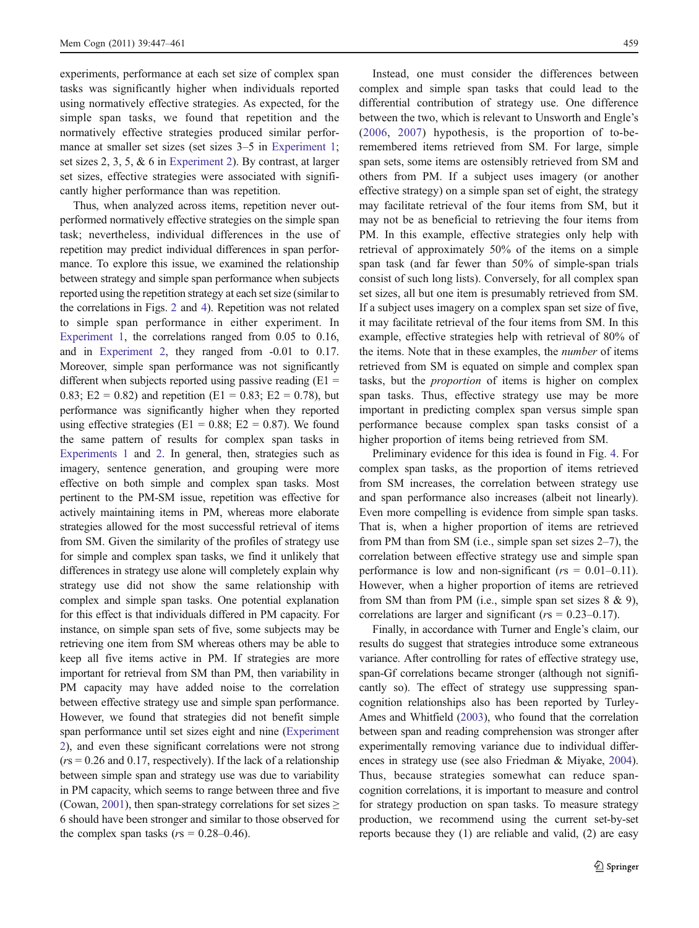experiments, performance at each set size of complex span tasks was significantly higher when individuals reported using normatively effective strategies. As expected, for the simple span tasks, we found that repetition and the normatively effective strategies produced similar performance at smaller set sizes (set sizes  $3-5$  in [Experiment 1](#page-3-0); set sizes 2, 3, 5, & 6 in [Experiment 2](#page-8-0)). By contrast, at larger set sizes, effective strategies were associated with significantly higher performance than was repetition.

Thus, when analyzed across items, repetition never outperformed normatively effective strategies on the simple span task; nevertheless, individual differences in the use of repetition may predict individual differences in span performance. To explore this issue, we examined the relationship between strategy and simple span performance when subjects reported using the repetition strategy at each set size (similar to the correlations in Figs. [2](#page-8-0) and [4](#page-10-0)). Repetition was not related to simple span performance in either experiment. In [Experiment 1,](#page-3-0) the correlations ranged from 0.05 to 0.16, and in [Experiment 2,](#page-8-0) they ranged from -0.01 to 0.17. Moreover, simple span performance was not significantly different when subjects reported using passive reading  $(E1 =$ 0.83; E2 = 0.82) and repetition (E1 = 0.83; E2 = 0.78), but performance was significantly higher when they reported using effective strategies (E1 =  $0.88$ ; E2 =  $0.87$ ). We found the same pattern of results for complex span tasks in [Experiments 1](#page-3-0) and [2](#page-8-0). In general, then, strategies such as imagery, sentence generation, and grouping were more effective on both simple and complex span tasks. Most pertinent to the PM-SM issue, repetition was effective for actively maintaining items in PM, whereas more elaborate strategies allowed for the most successful retrieval of items from SM. Given the similarity of the profiles of strategy use for simple and complex span tasks, we find it unlikely that differences in strategy use alone will completely explain why strategy use did not show the same relationship with complex and simple span tasks. One potential explanation for this effect is that individuals differed in PM capacity. For instance, on simple span sets of five, some subjects may be retrieving one item from SM whereas others may be able to keep all five items active in PM. If strategies are more important for retrieval from SM than PM, then variability in PM capacity may have added noise to the correlation between effective strategy use and simple span performance. However, we found that strategies did not benefit simple span performance until set sizes eight and nine [\(Experiment](#page-8-0) [2\)](#page-8-0), and even these significant correlations were not strong  $(rs = 0.26$  and 0.17, respectively). If the lack of a relationship between simple span and strategy use was due to variability in PM capacity, which seems to range between three and five (Cowan, [2001](#page-14-0)), then span-strategy correlations for set sizes  $\geq$ 6 should have been stronger and similar to those observed for the complex span tasks ( $rs = 0.28{\text -}0.46$ ).

Instead, one must consider the differences between complex and simple span tasks that could lead to the differential contribution of strategy use. One difference between the two, which is relevant to Unsworth and Engle's ([2006](#page-14-0), [2007\)](#page-14-0) hypothesis, is the proportion of to-beremembered items retrieved from SM. For large, simple span sets, some items are ostensibly retrieved from SM and others from PM. If a subject uses imagery (or another effective strategy) on a simple span set of eight, the strategy may facilitate retrieval of the four items from SM, but it may not be as beneficial to retrieving the four items from PM. In this example, effective strategies only help with retrieval of approximately 50% of the items on a simple span task (and far fewer than 50% of simple-span trials consist of such long lists). Conversely, for all complex span set sizes, all but one item is presumably retrieved from SM. If a subject uses imagery on a complex span set size of five, it may facilitate retrieval of the four items from SM. In this example, effective strategies help with retrieval of 80% of the items. Note that in these examples, the number of items retrieved from SM is equated on simple and complex span tasks, but the proportion of items is higher on complex span tasks. Thus, effective strategy use may be more important in predicting complex span versus simple span performance because complex span tasks consist of a higher proportion of items being retrieved from SM.

Preliminary evidence for this idea is found in Fig. [4](#page-10-0). For complex span tasks, as the proportion of items retrieved from SM increases, the correlation between strategy use and span performance also increases (albeit not linearly). Even more compelling is evidence from simple span tasks. That is, when a higher proportion of items are retrieved from PM than from SM (i.e., simple span set sizes 2–7), the correlation between effective strategy use and simple span performance is low and non-significant ( $rs = 0.01-0.11$ ). However, when a higher proportion of items are retrieved from SM than from PM (i.e., simple span set sizes  $8 \& 9$ ), correlations are larger and significant ( $rs = 0.23{\text -}0.17$ ).

Finally, in accordance with Turner and Engle's claim, our results do suggest that strategies introduce some extraneous variance. After controlling for rates of effective strategy use, span-Gf correlations became stronger (although not significantly so). The effect of strategy use suppressing spancognition relationships also has been reported by Turley-Ames and Whitfield ([2003](#page-14-0)), who found that the correlation between span and reading comprehension was stronger after experimentally removing variance due to individual differences in strategy use (see also Friedman & Miyake, [2004\)](#page-14-0). Thus, because strategies somewhat can reduce spancognition correlations, it is important to measure and control for strategy production on span tasks. To measure strategy production, we recommend using the current set-by-set reports because they (1) are reliable and valid, (2) are easy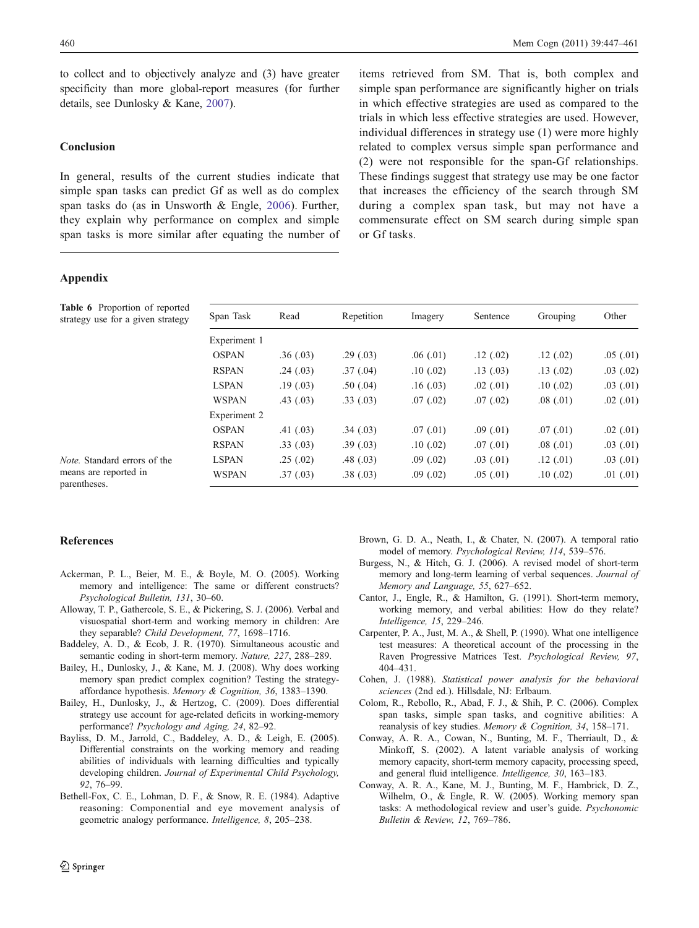<span id="page-13-0"></span>to collect and to objectively analyze and (3) have greater specificity than more global-report measures (for further details, see Dunlosky & Kane, [2007](#page-14-0)).

## Conclusion

In general, results of the current studies indicate that simple span tasks can predict Gf as well as do complex span tasks do (as in Unsworth & Engle, [2006\)](#page-14-0). Further, they explain why performance on complex and simple span tasks is more similar after equating the number of

## Appendix

items retrieved from SM. That is, both complex and simple span performance are significantly higher on trials in which effective strategies are used as compared to the trials in which less effective strategies are used. However, individual differences in strategy use (1) were more highly related to complex versus simple span performance and (2) were not responsible for the span-Gf relationships. These findings suggest that strategy use may be one factor that increases the efficiency of the search through SM during a complex span task, but may not have a commensurate effect on SM search during simple span or Gf tasks.

| <b>Table 6</b> Proportion of reported<br>strategy use for a given strategy | Span Task    | Read      | Repetition | Imagery   | Sentence      | Grouping  | Other     |  |  |  |
|----------------------------------------------------------------------------|--------------|-----------|------------|-----------|---------------|-----------|-----------|--|--|--|
|                                                                            | Experiment 1 |           |            |           |               |           |           |  |  |  |
|                                                                            | <b>OSPAN</b> | .36(.03)  | .29(0.03)  | .06(0.01) | .12(02)       | .12(02)   | .05(0.01) |  |  |  |
|                                                                            | <b>RSPAN</b> | .24(.03)  | .37(0.04)  | .10(0.02) | .13(0.03)     | .13(02)   | .03(.02)  |  |  |  |
|                                                                            | <b>LSPAN</b> | .19(0.03) | .50(0.04)  | .16(.03)  | $.02$ $(.01)$ | .10(0.02) | .03(0.01) |  |  |  |
|                                                                            | <b>WSPAN</b> | .43(0.03) | .33(0.03)  | .07(0.02) | .07(0.02)     | .08(0.01) | .02(0.01) |  |  |  |
|                                                                            | Experiment 2 |           |            |           |               |           |           |  |  |  |
|                                                                            | <b>OSPAN</b> | .41(0.03) | .34(0.03)  | .07(01)   | .09(0.01)     | .07(01)   | .02(0.01) |  |  |  |
|                                                                            | <b>RSPAN</b> | .33(.03)  | .39(0.03)  | .10(0.02) | .07(01)       | .08(0.01) | .03(0.01) |  |  |  |
| <i>Note.</i> Standard errors of the                                        | <b>LSPAN</b> | .25(.02)  | .48(.03)   | .09(0.02) | .03(01)       | .12(01)   | .03(0.01) |  |  |  |
| means are reported in<br>parentheses.                                      | <b>WSPAN</b> | .37(0.03) | .38(.03)   | .09(.02)  | .05(01)       | .10(0.02) | .01(0.01) |  |  |  |

## **References**

- Ackerman, P. L., Beier, M. E., & Boyle, M. O. (2005). Working memory and intelligence: The same or different constructs? Psychological Bulletin, 131, 30–60.
- Alloway, T. P., Gathercole, S. E., & Pickering, S. J. (2006). Verbal and visuospatial short-term and working memory in children: Are they separable? Child Development, 77, 1698–1716.
- Baddeley, A. D., & Ecob, J. R. (1970). Simultaneous acoustic and semantic coding in short-term memory. Nature, 227, 288–289.
- Bailey, H., Dunlosky, J., & Kane, M. J. (2008). Why does working memory span predict complex cognition? Testing the strategyaffordance hypothesis. Memory & Cognition, 36, 1383–1390.
- Bailey, H., Dunlosky, J., & Hertzog, C. (2009). Does differential strategy use account for age-related deficits in working-memory performance? Psychology and Aging, 24, 82–92.
- Bayliss, D. M., Jarrold, C., Baddeley, A. D., & Leigh, E. (2005). Differential constraints on the working memory and reading abilities of individuals with learning difficulties and typically developing children. Journal of Experimental Child Psychology, 92, 76–99.
- Bethell-Fox, C. E., Lohman, D. F., & Snow, R. E. (1984). Adaptive reasoning: Componential and eye movement analysis of geometric analogy performance. Intelligence, 8, 205–238.
- Brown, G. D. A., Neath, I., & Chater, N. (2007). A temporal ratio model of memory. Psychological Review, 114, 539–576.
- Burgess, N., & Hitch, G. J. (2006). A revised model of short-term memory and long-term learning of verbal sequences. Journal of Memory and Language, 55, 627–652.
- Cantor, J., Engle, R., & Hamilton, G. (1991). Short-term memory, working memory, and verbal abilities: How do they relate? Intelligence, 15, 229–246.
- Carpenter, P. A., Just, M. A., & Shell, P. (1990). What one intelligence test measures: A theoretical account of the processing in the Raven Progressive Matrices Test. Psychological Review, 97, 404–431.
- Cohen, J. (1988). Statistical power analysis for the behavioral sciences (2nd ed.). Hillsdale, NJ: Erlbaum.
- Colom, R., Rebollo, R., Abad, F. J., & Shih, P. C. (2006). Complex span tasks, simple span tasks, and cognitive abilities: A reanalysis of key studies. Memory & Cognition, 34, 158–171.
- Conway, A. R. A., Cowan, N., Bunting, M. F., Therriault, D., & Minkoff, S. (2002). A latent variable analysis of working memory capacity, short-term memory capacity, processing speed, and general fluid intelligence. Intelligence, 30, 163–183.
- Conway, A. R. A., Kane, M. J., Bunting, M. F., Hambrick, D. Z., Wilhelm, O., & Engle, R. W. (2005). Working memory span tasks: A methodological review and user's guide. Psychonomic Bulletin & Review, 12, 769–786.